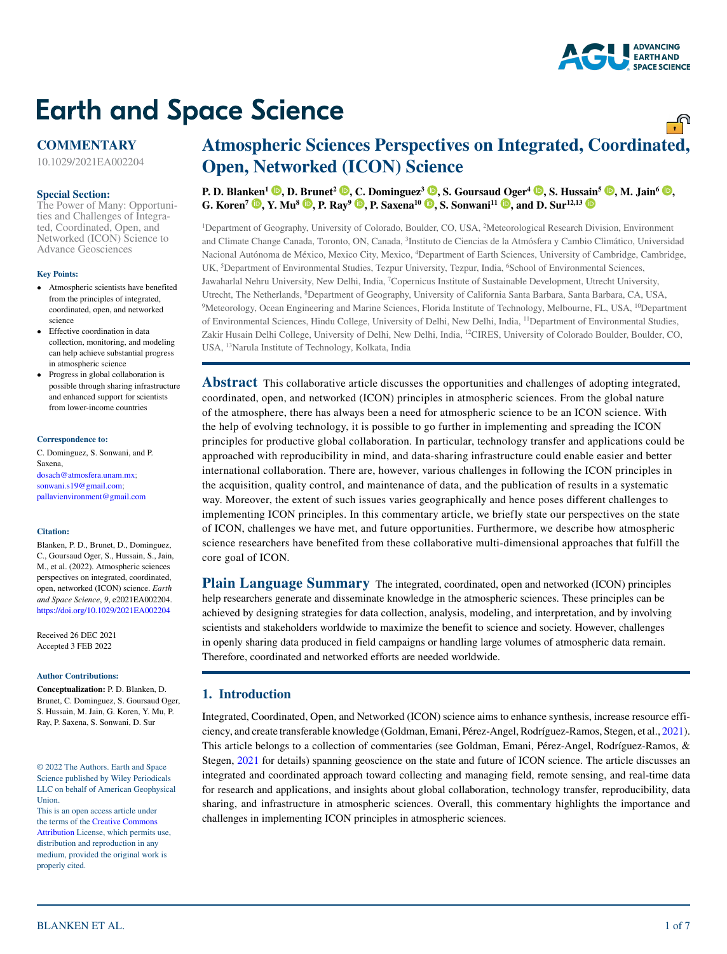# **Earth and Space Science**

# **COMMENTARY**

10.1029/2021EA002204

#### **Special Section:**

[The Power of Many: Opportuni](http://agupubs.onlinelibrary.wiley.com/doi/toc/10.1002/(ISSN)2333-5084.ICON)[ties and Challenges of Integra](http://agupubs.onlinelibrary.wiley.com/doi/toc/10.1002/(ISSN)2333-5084.ICON)[ted, Coordinated, Open, and](http://agupubs.onlinelibrary.wiley.com/doi/toc/10.1002/(ISSN)2333-5084.ICON)  [Networked \(ICON\) Science to](http://agupubs.onlinelibrary.wiley.com/doi/toc/10.1002/(ISSN)2333-5084.ICON)  [Advance Geosciences](http://agupubs.onlinelibrary.wiley.com/doi/toc/10.1002/(ISSN)2333-5084.ICON)

#### **Key Points:**

- Atmospheric scientists have benefited from the principles of integrated, coordinated, open, and networked science
- Effective coordination in data collection, monitoring, and modeling can help achieve substantial progress in atmospheric science
- Progress in global collaboration is possible through sharing infrastructure and enhanced support for scientists from lower-income countries

#### **Correspondence to:**

C. Dominguez, S. Sonwani, and P. Saxena, dosach@atmosfera.unam.mx; sonwani.s19@gmail.com; pallavienvironment@gmail.com

#### **Citation:**

Blanken, P. D., Brunet, D., Dominguez, C., Goursaud Oger, S., Hussain, S., Jain, M., et al. (2022). Atmospheric sciences perspectives on integrated, coordinated, open, networked (ICON) science. *Earth and Space Science*, *9*, e2021EA002204. <https://doi.org/10.1029/2021EA002204>

Received 26 DEC 2021 Accepted 3 FEB 2022

#### **Author Contributions:**

**Conceptualization:** P. D. Blanken, D. Brunet, C. Dominguez, S. Goursaud Oger, S. Hussain, M. Jain, G. Koren, Y. Mu, P. Ray, P. Saxena, S. Sonwani, D. Sur

© 2022 The Authors. Earth and Space Science published by Wiley Periodicals LLC on behalf of American Geophysical Union.

This is an open access article under the terms of the [Creative Commons](http://creativecommons.org/licenses/by/4.0/)  [Attribution](http://creativecommons.org/licenses/by/4.0/) License, which permits use, distribution and reproduction in any medium, provided the original work is properly cited.

# **Atmospheric Sciences Perspectives on Integrated, Coordinated, Open, Networked (ICON) Science**

P. D. Blan[ken](https://orcid.org/0000-0002-2275-0713)<sup>1</sup> **.** D. [Bru](https://orcid.org/0000-0002-7857-5707)net<sup>2</sup> **.** [C.](https://orcid.org/0000-0001-8924-1852) Dominguez<sup>3</sup> **.** S. Goursau[d Og](https://orcid.org/0000-0002-2231-1577)er<sup>4</sup> **.** S. Hus[sain](https://orcid.org/0000-0001-9349-086X)<sup>5</sup> **.** M. Jain<sup>6</sup> **. G. Koren<sup>7</sup> <b>D**[,](https://orcid.org/0000-0002-3682-8622) Y. Mu<sup>8</sup> **D**, P. Ray<sup>9</sup> **D**, P. Saxena<sup>10</sup> **D**, S. Sonwani<sup>11</sup> **D**, and D. Sur<sup>12,13</sup> **D** 

1 Department of Geography, University of Colorado, Boulder, CO, USA, 2 Meteorological Research Division, Environment and Climate Change Canada, Toronto, ON, Canada, 3 Instituto de Ciencias de la Atmósfera y Cambio Climático, Universidad Nacional Autónoma de México, Mexico City, Mexico, 4 Department of Earth Sciences, University of Cambridge, Cambridge, UK, 'Department of Environmental Studies, Tezpur University, Tezpur, India, 'School of Environmental Sciences, Jawaharlal Nehru University, New Delhi, India, 7 Copernicus Institute of Sustainable Development, Utrecht University, Utrecht, The Netherlands, 8 Department of Geography, University of California Santa Barbara, Santa Barbara, CA, USA, 9 Meteorology, Ocean Engineering and Marine Sciences, Florida Institute of Technology, Melbourne, FL, USA, 10Department of Environmental Sciences, Hindu College, University of Delhi, New Delhi, India, 11Department of Environmental Studies, Zakir Husain Delhi College, University of Delhi, New Delhi, India, 12CIRES, University of Colorado Boulder, Boulder, CO, USA, 13Narula Institute of Technology, Kolkata, India

**Abstract** This collaborative article discusses the opportunities and challenges of adopting integrated, coordinated, open, and networked (ICON) principles in atmospheric sciences. From the global nature of the atmosphere, there has always been a need for atmospheric science to be an ICON science. With the help of evolving technology, it is possible to go further in implementing and spreading the ICON principles for productive global collaboration. In particular, technology transfer and applications could be approached with reproducibility in mind, and data-sharing infrastructure could enable easier and better international collaboration. There are, however, various challenges in following the ICON principles in the acquisition, quality control, and maintenance of data, and the publication of results in a systematic way. Moreover, the extent of such issues varies geographically and hence poses different challenges to implementing ICON principles. In this commentary article, we briefly state our perspectives on the state of ICON, challenges we have met, and future opportunities. Furthermore, we describe how atmospheric science researchers have benefited from these collaborative multi-dimensional approaches that fulfill the core goal of ICON.

**Plain Language Summary** The integrated, coordinated, open and networked (ICON) principles help researchers generate and disseminate knowledge in the atmospheric sciences. These principles can be achieved by designing strategies for data collection, analysis, modeling, and interpretation, and by involving scientists and stakeholders worldwide to maximize the benefit to science and society. However, challenges in openly sharing data produced in field campaigns or handling large volumes of atmospheric data remain. Therefore, coordinated and networked efforts are needed worldwide.

# **1. Introduction**

Integrated, Coordinated, Open, and Networked (ICON) science aims to enhance synthesis, increase resource efficiency, and create transferable knowledge (Goldman, Emani, Pérez-Angel, Rodríguez-Ramos, Stegen, et al., [2021](#page-6-0)). This article belongs to a collection of commentaries (see Goldman, Emani, Pérez-Angel, Rodríguez-Ramos, & Stegen, [2021](#page-6-1) for details) spanning geoscience on the state and future of ICON science. The article discusses an integrated and coordinated approach toward collecting and managing field, remote sensing, and real-time data for research and applications, and insights about global collaboration, technology transfer, reproducibility, data sharing, and infrastructure in atmospheric sciences. Overall, this commentary highlights the importance and challenges in implementing ICON principles in atmospheric sciences.



<u>್.</u>ಗಿ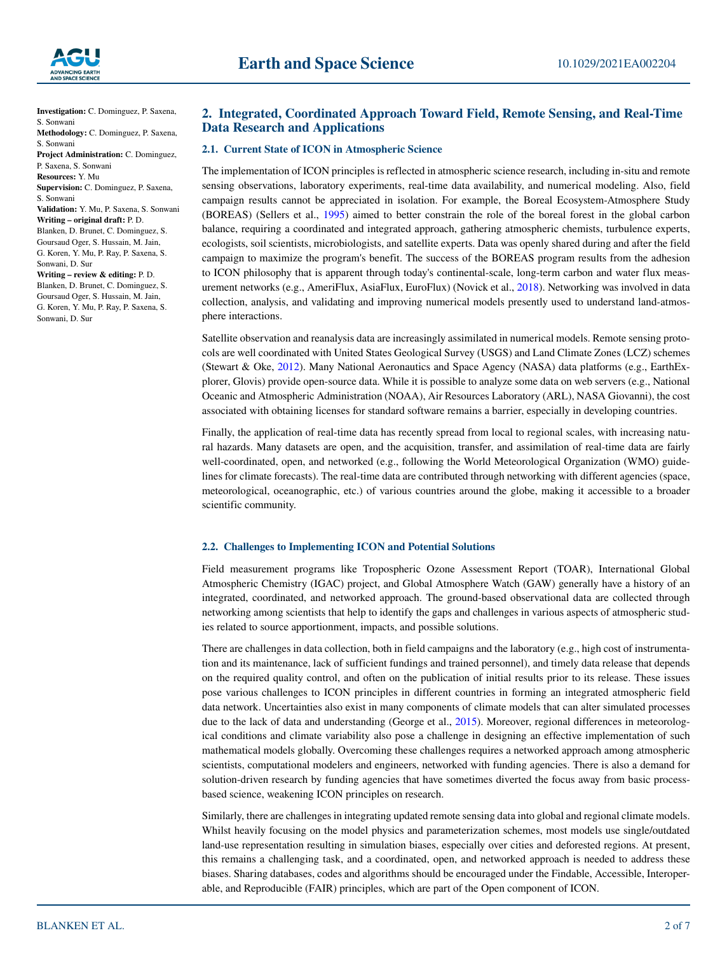

**Investigation:** C. Dominguez, P. Saxena, S. Sonwani **Methodology:** C. Dominguez, P. Saxena, S. Sonwani **Project Administration:** C. Dominguez, P. Saxena, S. Sonwani **Resources:** Y. Mu **Supervision:** C. Dominguez, P. Saxena, S. Sonwani **Validation:** Y. Mu, P. Saxena, S. Sonwani **Writing – original draft:** P. D. Blanken, D. Brunet, C. Dominguez, S. Goursaud Oger, S. Hussain, M. Jain, G. Koren, Y. Mu, P. Ray, P. Saxena, S. Sonwani, D. Sur **Writing – review & editing:** P. D. Blanken, D. Brunet, C. Dominguez, S. Goursaud Oger, S. Hussain, M. Jain, G. Koren, Y. Mu, P. Ray, P. Saxena, S. Sonwani, D. Sur

# <span id="page-1-0"></span>**2. Integrated, Coordinated Approach Toward Field, Remote Sensing, and Real-Time Data Research and Applications**

#### **2.1. Current State of ICON in Atmospheric Science**

The implementation of ICON principles is reflected in atmospheric science research, including in-situ and remote sensing observations, laboratory experiments, real-time data availability, and numerical modeling. Also, field campaign results cannot be appreciated in isolation. For example, the Boreal Ecosystem-Atmosphere Study (BOREAS) (Sellers et al., [1995](#page-6-2)) aimed to better constrain the role of the boreal forest in the global carbon balance, requiring a coordinated and integrated approach, gathering atmospheric chemists, turbulence experts, ecologists, soil scientists, microbiologists, and satellite experts. Data was openly shared during and after the field campaign to maximize the program's benefit. The success of the BOREAS program results from the adhesion to ICON philosophy that is apparent through today's continental-scale, long-term carbon and water flux measurement networks (e.g., AmeriFlux, AsiaFlux, EuroFlux) (Novick et al., [2018](#page-6-3)). Networking was involved in data collection, analysis, and validating and improving numerical models presently used to understand land-atmosphere interactions.

Satellite observation and reanalysis data are increasingly assimilated in numerical models. Remote sensing protocols are well coordinated with United States Geological Survey (USGS) and Land Climate Zones (LCZ) schemes (Stewart & Oke, [2012](#page-6-4)). Many National Aeronautics and Space Agency (NASA) data platforms (e.g., EarthExplorer, Glovis) provide open-source data. While it is possible to analyze some data on web servers (e.g., National Oceanic and Atmospheric Administration (NOAA), Air Resources Laboratory (ARL), NASA Giovanni), the cost associated with obtaining licenses for standard software remains a barrier, especially in developing countries.

Finally, the application of real-time data has recently spread from local to regional scales, with increasing natural hazards. Many datasets are open, and the acquisition, transfer, and assimilation of real-time data are fairly well-coordinated, open, and networked (e.g., following the World Meteorological Organization (WMO) guidelines for climate forecasts). The real-time data are contributed through networking with different agencies (space, meteorological, oceanographic, etc.) of various countries around the globe, making it accessible to a broader scientific community.

#### **2.2. Challenges to Implementing ICON and Potential Solutions**

Field measurement programs like Tropospheric Ozone Assessment Report (TOAR), International Global Atmospheric Chemistry (IGAC) project, and Global Atmosphere Watch (GAW) generally have a history of an integrated, coordinated, and networked approach. The ground-based observational data are collected through networking among scientists that help to identify the gaps and challenges in various aspects of atmospheric studies related to source apportionment, impacts, and possible solutions.

There are challenges in data collection, both in field campaigns and the laboratory (e.g., high cost of instrumentation and its maintenance, lack of sufficient fundings and trained personnel), and timely data release that depends on the required quality control, and often on the publication of initial results prior to its release. These issues pose various challenges to ICON principles in different countries in forming an integrated atmospheric field data network. Uncertainties also exist in many components of climate models that can alter simulated processes due to the lack of data and understanding (George et al., [2015](#page-6-5)). Moreover, regional differences in meteorological conditions and climate variability also pose a challenge in designing an effective implementation of such mathematical models globally. Overcoming these challenges requires a networked approach among atmospheric scientists, computational modelers and engineers, networked with funding agencies. There is also a demand for solution-driven research by funding agencies that have sometimes diverted the focus away from basic processbased science, weakening ICON principles on research.

Similarly, there are challenges in integrating updated remote sensing data into global and regional climate models. Whilst heavily focusing on the model physics and parameterization schemes, most models use single/outdated land-use representation resulting in simulation biases, especially over cities and deforested regions. At present, this remains a challenging task, and a coordinated, open, and networked approach is needed to address these biases. Sharing databases, codes and algorithms should be encouraged under the Findable, Accessible, Interoperable, and Reproducible (FAIR) principles, which are part of the Open component of ICON.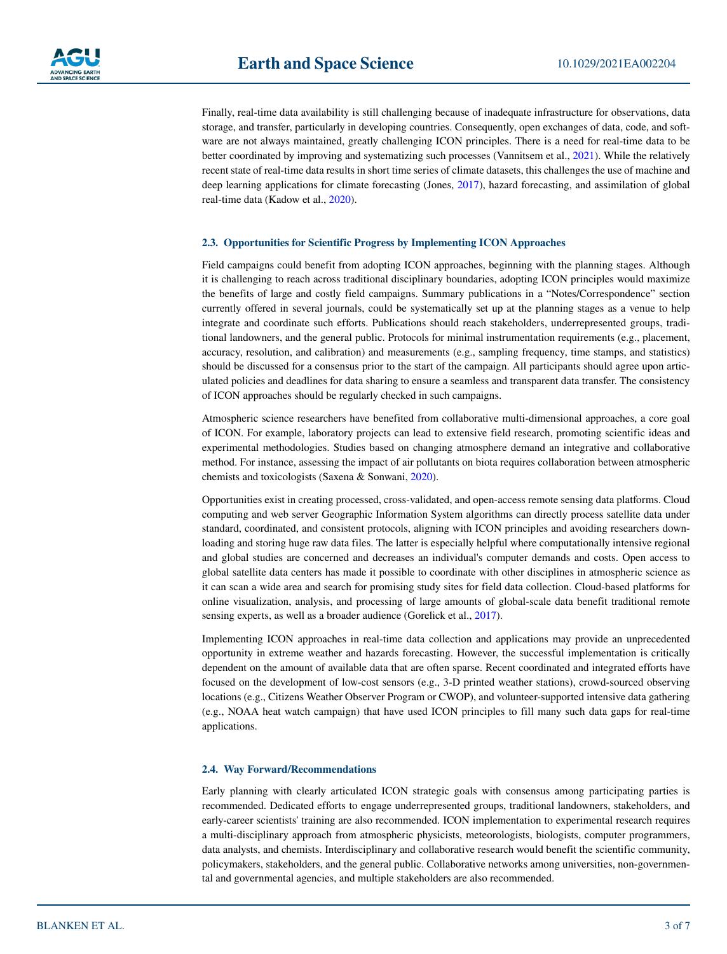Finally, real-time data availability is still challenging because of inadequate infrastructure for observations, data storage, and transfer, particularly in developing countries. Consequently, open exchanges of data, code, and software are not always maintained, greatly challenging ICON principles. There is a need for real-time data to be better coordinated by improving and systematizing such processes (Vannitsem et al., [2021\)](#page-6-6). While the relatively recent state of real-time data results in short time series of climate datasets, this challenges the use of machine and deep learning applications for climate forecasting (Jones, [2017](#page-6-7)), hazard forecasting, and assimilation of global real-time data (Kadow et al., [2020\)](#page-6-8).

#### **2.3. Opportunities for Scientific Progress by Implementing ICON Approaches**

Field campaigns could benefit from adopting ICON approaches, beginning with the planning stages. Although it is challenging to reach across traditional disciplinary boundaries, adopting ICON principles would maximize the benefits of large and costly field campaigns. Summary publications in a "Notes/Correspondence" section currently offered in several journals, could be systematically set up at the planning stages as a venue to help integrate and coordinate such efforts. Publications should reach stakeholders, underrepresented groups, traditional landowners, and the general public. Protocols for minimal instrumentation requirements (e.g., placement, accuracy, resolution, and calibration) and measurements (e.g., sampling frequency, time stamps, and statistics) should be discussed for a consensus prior to the start of the campaign. All participants should agree upon articulated policies and deadlines for data sharing to ensure a seamless and transparent data transfer. The consistency of ICON approaches should be regularly checked in such campaigns.

Atmospheric science researchers have benefited from collaborative multi-dimensional approaches, a core goal of ICON. For example, laboratory projects can lead to extensive field research, promoting scientific ideas and experimental methodologies. Studies based on changing atmosphere demand an integrative and collaborative method. For instance, assessing the impact of air pollutants on biota requires collaboration between atmospheric chemists and toxicologists (Saxena & Sonwani, [2020](#page-6-9)).

Opportunities exist in creating processed, cross-validated, and open-access remote sensing data platforms. Cloud computing and web server Geographic Information System algorithms can directly process satellite data under standard, coordinated, and consistent protocols, aligning with ICON principles and avoiding researchers downloading and storing huge raw data files. The latter is especially helpful where computationally intensive regional and global studies are concerned and decreases an individual's computer demands and costs. Open access to global satellite data centers has made it possible to coordinate with other disciplines in atmospheric science as it can scan a wide area and search for promising study sites for field data collection. Cloud-based platforms for online visualization, analysis, and processing of large amounts of global-scale data benefit traditional remote sensing experts, as well as a broader audience (Gorelick et al., [2017](#page-6-10)).

Implementing ICON approaches in real-time data collection and applications may provide an unprecedented opportunity in extreme weather and hazards forecasting. However, the successful implementation is critically dependent on the amount of available data that are often sparse. Recent coordinated and integrated efforts have focused on the development of low-cost sensors (e.g., 3-D printed weather stations), crowd-sourced observing locations (e.g., Citizens Weather Observer Program or CWOP), and volunteer-supported intensive data gathering (e.g., NOAA heat watch campaign) that have used ICON principles to fill many such data gaps for real-time applications.

#### **2.4. Way Forward/Recommendations**

Early planning with clearly articulated ICON strategic goals with consensus among participating parties is recommended. Dedicated efforts to engage underrepresented groups, traditional landowners, stakeholders, and early-career scientists' training are also recommended. ICON implementation to experimental research requires a multi-disciplinary approach from atmospheric physicists, meteorologists, biologists, computer programmers, data analysts, and chemists. Interdisciplinary and collaborative research would benefit the scientific community, policymakers, stakeholders, and the general public. Collaborative networks among universities, non-governmental and governmental agencies, and multiple stakeholders are also recommended.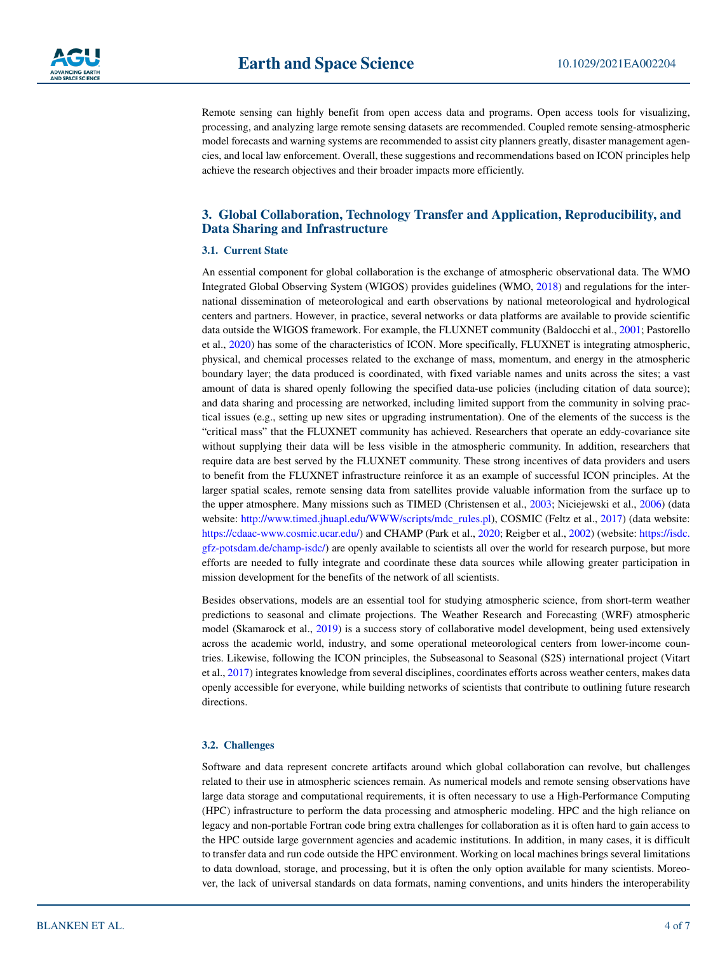

Remote sensing can highly benefit from open access data and programs. Open access tools for visualizing, processing, and analyzing large remote sensing datasets are recommended. Coupled remote sensing-atmospheric model forecasts and warning systems are recommended to assist city planners greatly, disaster management agencies, and local law enforcement. Overall, these suggestions and recommendations based on ICON principles help achieve the research objectives and their broader impacts more efficiently.

# <span id="page-3-0"></span>**3. Global Collaboration, Technology Transfer and Application, Reproducibility, and Data Sharing and Infrastructure**

#### **3.1. Current State**

An essential component for global collaboration is the exchange of atmospheric observational data. The WMO Integrated Global Observing System (WIGOS) provides guidelines (WMO, [2018](#page-6-11)) and regulations for the international dissemination of meteorological and earth observations by national meteorological and hydrological centers and partners. However, in practice, several networks or data platforms are available to provide scientific data outside the WIGOS framework. For example, the FLUXNET community (Baldocchi et al., [2001](#page-5-0); Pastorello et al., [2020](#page-6-12)) has some of the characteristics of ICON. More specifically, FLUXNET is integrating atmospheric, physical, and chemical processes related to the exchange of mass, momentum, and energy in the atmospheric boundary layer; the data produced is coordinated, with fixed variable names and units across the sites; a vast amount of data is shared openly following the specified data-use policies (including citation of data source); and data sharing and processing are networked, including limited support from the community in solving practical issues (e.g., setting up new sites or upgrading instrumentation). One of the elements of the success is the "critical mass" that the FLUXNET community has achieved. Researchers that operate an eddy-covariance site without supplying their data will be less visible in the atmospheric community. In addition, researchers that require data are best served by the FLUXNET community. These strong incentives of data providers and users to benefit from the FLUXNET infrastructure reinforce it as an example of successful ICON principles. At the larger spatial scales, remote sensing data from satellites provide valuable information from the surface up to the upper atmosphere. Many missions such as TIMED (Christensen et al., [2003](#page-6-13); Niciejewski et al., [2006\)](#page-6-14) (data website: [http://www.timed.jhuapl.edu/WWW/scripts/mdc\\_rules.pl](http://www.timed.jhuapl.edu/WWW/scripts/mdc_rules.pl)), COSMIC (Feltz et al., [2017\)](#page-6-15) (data website: <https://cdaac-www.cosmic.ucar.edu/>) and CHAMP (Park et al., [2020](#page-6-16); Reigber et al., [2002](#page-6-17)) (website: [https://isdc.](https://isdc.gfz-potsdam.de/champ-isdc/) [gfz-potsdam.de/champ-isdc/\)](https://isdc.gfz-potsdam.de/champ-isdc/) are openly available to scientists all over the world for research purpose, but more efforts are needed to fully integrate and coordinate these data sources while allowing greater participation in mission development for the benefits of the network of all scientists.

Besides observations, models are an essential tool for studying atmospheric science, from short-term weather predictions to seasonal and climate projections. The Weather Research and Forecasting (WRF) atmospheric model (Skamarock et al., [2019](#page-6-18)) is a success story of collaborative model development, being used extensively across the academic world, industry, and some operational meteorological centers from lower-income countries. Likewise, following the ICON principles, the Subseasonal to Seasonal (S2S) international project (Vitart et al., [2017](#page-6-19)) integrates knowledge from several disciplines, coordinates efforts across weather centers, makes data openly accessible for everyone, while building networks of scientists that contribute to outlining future research directions.

#### **3.2. Challenges**

Software and data represent concrete artifacts around which global collaboration can revolve, but challenges related to their use in atmospheric sciences remain. As numerical models and remote sensing observations have large data storage and computational requirements, it is often necessary to use a High-Performance Computing (HPC) infrastructure to perform the data processing and atmospheric modeling. HPC and the high reliance on legacy and non-portable Fortran code bring extra challenges for collaboration as it is often hard to gain access to the HPC outside large government agencies and academic institutions. In addition, in many cases, it is difficult to transfer data and run code outside the HPC environment. Working on local machines brings several limitations to data download, storage, and processing, but it is often the only option available for many scientists. Moreover, the lack of universal standards on data formats, naming conventions, and units hinders the interoperability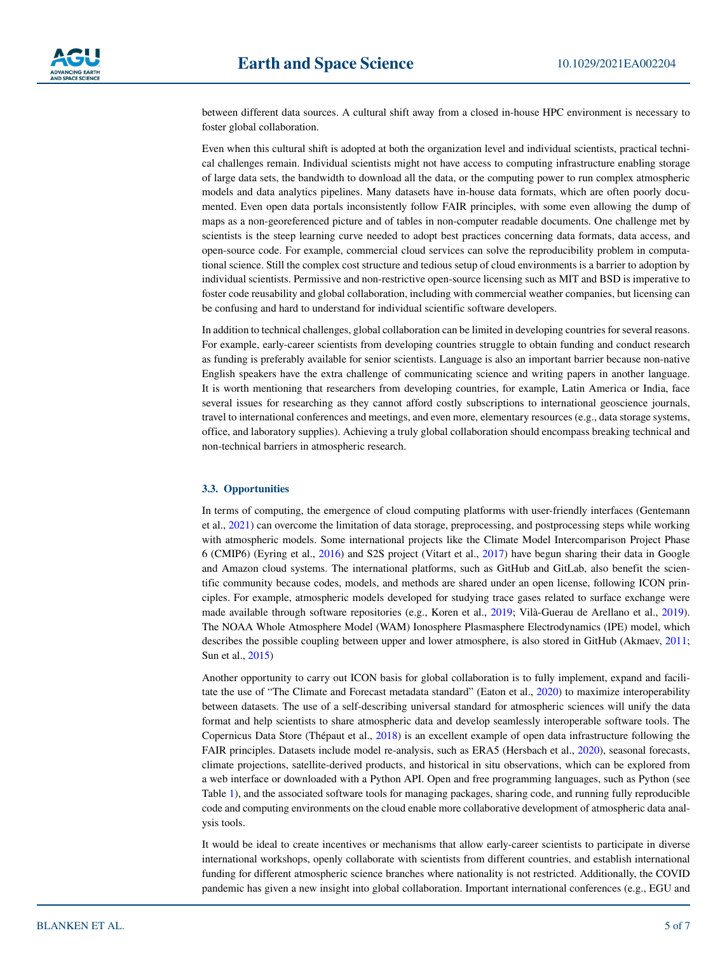between different data sources. A cultural shift away from a closed in-house HPC environment is necessary to foster global collaboration.

Even when this cultural shift is adopted at both the organization level and individual scientists, practical technical challenges remain. Individual scientists might not have access to computing infrastructure enabling storage of large data sets, the bandwidth to download all the data, or the computing power to run complex atmospheric models and data analytics pipelines. Many datasets have in-house data formats, which are often poorly documented. Even open data portals inconsistently follow FAIR principles, with some even allowing the dump of maps as a non-georeferenced picture and of tables in non-computer readable documents. One challenge met by scientists is the steep learning curve needed to adopt best practices concerning data formats, data access, and open-source code. For example, commercial cloud services can solve the reproducibility problem in computational science. Still the complex cost structure and tedious setup of cloud environments is a barrier to adoption by individual scientists. Permissive and non-restrictive open-source licensing such as MIT and BSD is imperative to foster code reusability and global collaboration, including with commercial weather companies, but licensing can be confusing and hard to understand for individual scientific software developers.

In addition to technical challenges, global collaboration can be limited in developing countries for several reasons. For example, early-career scientists from developing countries struggle to obtain funding and conduct research as funding is preferably available for senior scientists. Language is also an important barrier because non-native English speakers have the extra challenge of communicating science and writing papers in another language. It is worth mentioning that researchers from developing countries, for example, Latin America or India, face several issues for researching as they cannot afford costly subscriptions to international geoscience journals, travel to international conferences and meetings, and even more, elementary resources (e.g., data storage systems, office, and laboratory supplies). Achieving a truly global collaboration should encompass breaking technical and non-technical barriers in atmospheric research.

#### **3.3. Opportunities**

In terms of computing, the emergence of cloud computing platforms with user-friendly interfaces (Gentemann et al., [2021](#page-6-20)) can overcome the limitation of data storage, preprocessing, and postprocessing steps while working with atmospheric models. Some international projects like the Climate Model Intercomparison Project Phase 6 (CMIP6) (Eyring et al., [2016\)](#page-6-21) and S2S project (Vitart et al., [2017\)](#page-6-19) have begun sharing their data in Google and Amazon cloud systems. The international platforms, such as GitHub and GitLab, also benefit the scientific community because codes, models, and methods are shared under an open license, following ICON principles. For example, atmospheric models developed for studying trace gases related to surface exchange were made available through software repositories (e.g., Koren et al., [2019;](#page-6-22) Vilà-Guerau de Arellano et al., [2019](#page-6-23)). The NOAA Whole Atmosphere Model (WAM) Ionosphere Plasmasphere Electrodynamics (IPE) model, which describes the possible coupling between upper and lower atmosphere, is also stored in GitHub (Akmaev, [2011;](#page-5-1) Sun et al., [2015](#page-6-24))

Another opportunity to carry out ICON basis for global collaboration is to fully implement, expand and facili-tate the use of "The Climate and Forecast metadata standard" (Eaton et al., [2020\)](#page-6-25) to maximize interoperability between datasets. The use of a self-describing universal standard for atmospheric sciences will unify the data format and help scientists to share atmospheric data and develop seamlessly interoperable software tools. The Copernicus Data Store (Thépaut et al., [2018\)](#page-6-26) is an excellent example of open data infrastructure following the FAIR principles. Datasets include model re-analysis, such as ERA5 (Hersbach et al., [2020\)](#page-6-27), seasonal forecasts, climate projections, satellite-derived products, and historical in situ observations, which can be explored from a web interface or downloaded with a Python API. Open and free programming languages, such as Python (see Table [1\)](#page-5-2), and the associated software tools for managing packages, sharing code, and running fully reproducible code and computing environments on the cloud enable more collaborative development of atmospheric data analysis tools.

It would be ideal to create incentives or mechanisms that allow early-career scientists to participate in diverse international workshops, openly collaborate with scientists from different countries, and establish international funding for different atmospheric science branches where nationality is not restricted. Additionally, the COVID pandemic has given a new insight into global collaboration. Important international conferences (e.g., EGU and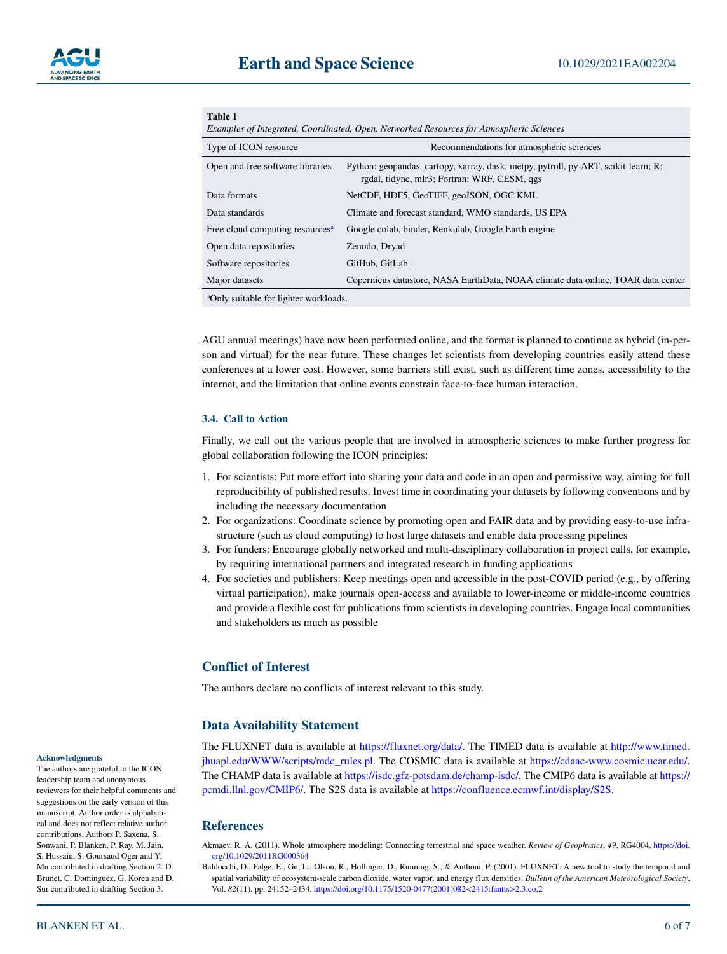| Table 1<br>Examples of Integrated, Coordinated, Open, Networked Resources for Atmospheric Sciences |                                                                                                                                    |
|----------------------------------------------------------------------------------------------------|------------------------------------------------------------------------------------------------------------------------------------|
| Type of ICON resource                                                                              | Recommendations for atmospheric sciences                                                                                           |
| Open and free software libraries                                                                   | Python: geopandas, cartopy, xarray, dask, metpy, pytroll, py-ART, scikit-learn; R:<br>rgdal, tidync, mlr3; Fortran: WRF, CESM, qgs |
| Data formats                                                                                       | NetCDF, HDF5, GeoTIFF, geoJSON, OGC KML                                                                                            |
| Data standards                                                                                     | Climate and forecast standard, WMO standards, US EPA                                                                               |
| Free cloud computing resources <sup>a</sup>                                                        | Google colab, binder, Renkulab, Google Earth engine                                                                                |
| Open data repositories                                                                             | Zenodo, Dryad                                                                                                                      |
| Software repositories                                                                              | GitHub, GitLab                                                                                                                     |
| Major datasets                                                                                     | Copernicus datastore, NASA EarthData, NOAA climate data online, TOAR data center                                                   |
| <sup>a</sup> Only suitable for lighter workloads                                                   |                                                                                                                                    |

a Only suitable for lighter workloads.

AGU annual meetings) have now been performed online, and the format is planned to continue as hybrid (in-person and virtual) for the near future. These changes let scientists from developing countries easily attend these conferences at a lower cost. However, some barriers still exist, such as different time zones, accessibility to the internet, and the limitation that online events constrain face-to-face human interaction.

#### **3.4. Call to Action**

<span id="page-5-2"></span> $m \rightarrow m$ 

Finally, we call out the various people that are involved in atmospheric sciences to make further progress for global collaboration following the ICON principles:

- 1. For scientists: Put more effort into sharing your data and code in an open and permissive way, aiming for full reproducibility of published results. Invest time in coordinating your datasets by following conventions and by including the necessary documentation
- 2. For organizations: Coordinate science by promoting open and FAIR data and by providing easy-to-use infrastructure (such as cloud computing) to host large datasets and enable data processing pipelines
- 3. For funders: Encourage globally networked and multi-disciplinary collaboration in project calls, for example, by requiring international partners and integrated research in funding applications
- 4. For societies and publishers: Keep meetings open and accessible in the post-COVID period (e.g., by offering virtual participation), make journals open-access and available to lower-income or middle-income countries and provide a flexible cost for publications from scientists in developing countries. Engage local communities and stakeholders as much as possible

## **Conflict of Interest**

The authors declare no conflicts of interest relevant to this study.

### **Data Availability Statement**

The FLUXNET data is available at <https://fluxnet.org/data/>. The TIMED data is available at [http://www.timed.](http://www.timed.jhuapl.edu/WWW/scripts/mdc_rules.pl) [jhuapl.edu/WWW/scripts/mdc\\_rules.pl](http://www.timed.jhuapl.edu/WWW/scripts/mdc_rules.pl). The COSMIC data is available at <https://cdaac-www.cosmic.ucar.edu/>. The CHAMP data is available at [https://isdc.gfz-potsdam.de/champ-isdc/.](https://isdc.gfz-potsdam.de/champ-isdc/) The CMIP6 data is available at [https://](https://pcmdi.llnl.gov/CMIP6/) [pcmdi.llnl.gov/CMIP6/.](https://pcmdi.llnl.gov/CMIP6/) The S2S data is available at <https://confluence.ecmwf.int/display/S2S>.

#### **References**

<span id="page-5-1"></span>Akmaev, R. A. (2011). Whole atmosphere modeling: Connecting terrestrial and space weather. *Review of Geophysics*, *49*, RG4004. [https://doi.](https://doi.org/10.1029/2011RG000364) [org/10.1029/2011RG000364](https://doi.org/10.1029/2011RG000364)

<span id="page-5-0"></span>Baldocchi, D., Falge, E., Gu, L., Olson, R., Hollinger, D., Running, S., & Anthoni, P. (2001). FLUXNET: A new tool to study the temporal and spatial variability of ecosystem-scale carbon dioxide, water vapor, and energy flux densities. *Bulletin of the American Meteorological Society*, Vol. *82*(11), pp. 24152–2434. [https://doi.org/10.1175/1520-0477\(2001\)082<2415:fantts>2.3.co;2](https://doi.org/10.1175/1520-0477(2001)082%3C2415:fantts%3E2.3.co;2)

#### **Acknowledgments**

The authors are grateful to the ICON leadership team and anonymous reviewers for their helpful comments and suggestions on the early version of this manuscript. Author order is alphabetical and does not reflect relative author contributions. Authors P. Saxena, S. Sonwani, P. Blanken, P. Ray, M. Jain, S. Hussain, S. Goursaud Oger and Y. Mu contributed in drafting Section [2](#page-1-0). D. Brunet, C. Dominguez, G. Koren and D. Sur contributed in drafting Section [3](#page-3-0).